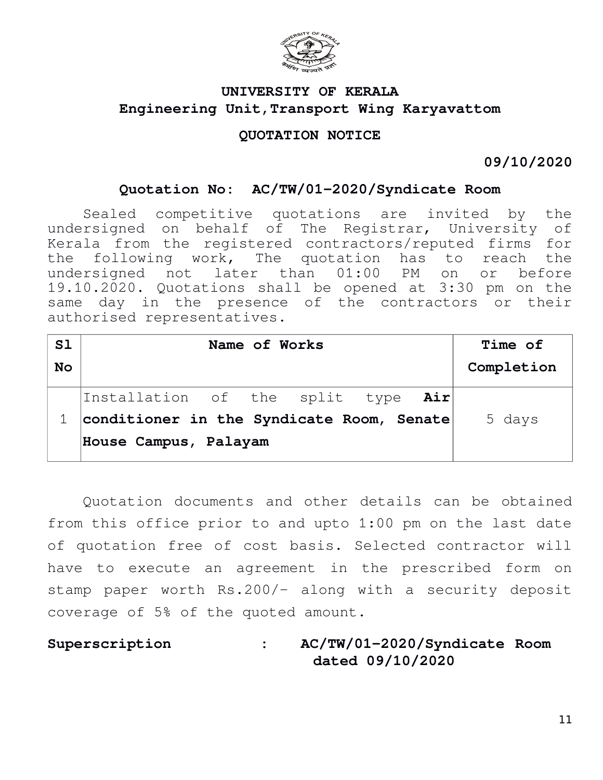

# **UNIVERSITY OF KERALA Engineering Unit,Transport Wing Karyavattom**

## **QUOTATION NOTICE**

**09/10/2020**

### **Quotation No: AC/TW/01-2020/Syndicate Room**

Sealed competitive quotations are invited by the undersigned on behalf of The Registrar, University of Kerala from the registered contractors/reputed firms for the following work, The quotation has to reach the undersigned not later than 01:00 PM on or before 19.10.2020. Quotations shall be opened at 3:30 pm on the same day in the presence of the contractors or their authorised representatives.

| S1        | Name of Works                             |  |  |  |  | Time of    |
|-----------|-------------------------------------------|--|--|--|--|------------|
| <b>No</b> |                                           |  |  |  |  | Completion |
|           | Installation of the split type Air        |  |  |  |  |            |
|           | conditioner in the Syndicate Room, Senate |  |  |  |  | 5 days     |
|           | House Campus, Palayam                     |  |  |  |  |            |

Quotation documents and other details can be obtained from this office prior to and upto 1:00 pm on the last date of quotation free of cost basis. Selected contractor will have to execute an agreement in the prescribed form on stamp paper worth Rs.200/- along with a security deposit coverage of 5% of the quoted amount.

**Superscription : AC/TW/01-2020/Syndicate Room dated 09/10/2020**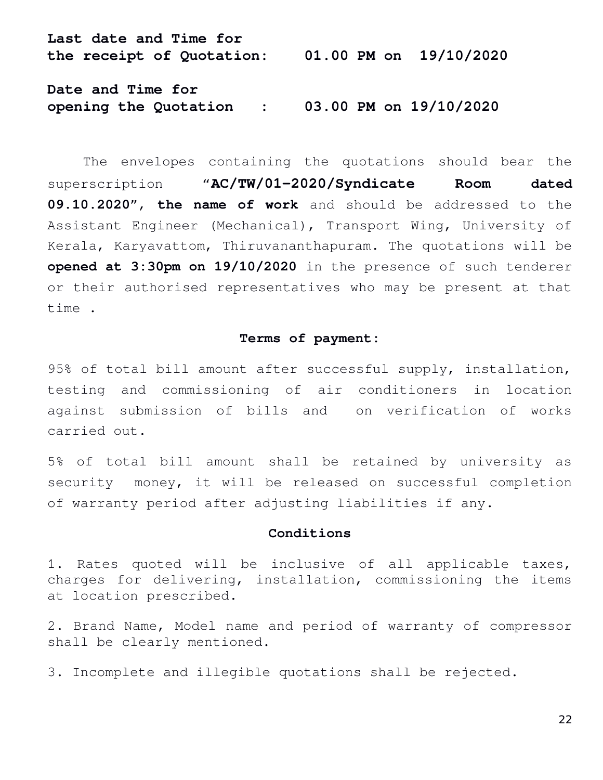**Last date and Time for the receipt of Quotation: 01.00 PM on 19/10/2020**

**Date and Time for opening the Quotation : 03.00 PM on 19/10/2020**

The envelopes containing the quotations should bear the superscription "**AC/TW/01-2020/Syndicate Room dated 09.10.2020**", **the name of work** and should be addressed to the Assistant Engineer (Mechanical), Transport Wing, University of Kerala, Karyavattom, Thiruvananthapuram. The quotations will be **opened at 3:30pm on 19/10/2020** in the presence of such tenderer or their authorised representatives who may be present at that time .

#### **Terms of payment:**

95% of total bill amount after successful supply, installation, testing and commissioning of air conditioners in location against submission of bills and on verification of works carried out.

5% of total bill amount shall be retained by university as security money, it will be released on successful completion of warranty period after adjusting liabilities if any.

#### **Conditions**

1. Rates quoted will be inclusive of all applicable taxes, charges for delivering, installation, commissioning the items at location prescribed.

2. Brand Name, Model name and period of warranty of compressor shall be clearly mentioned.

3. Incomplete and illegible quotations shall be rejected.